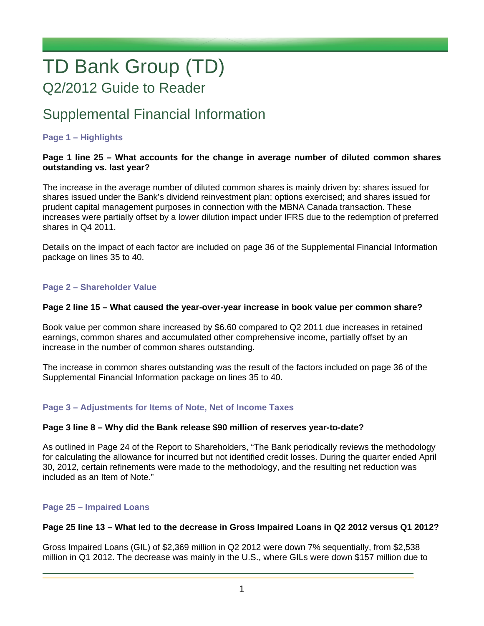# TD Bank Group (TD) Q2/2012 Guide to Reader

# Supplemental Financial Information

#### **Page 1 – Highlights**

#### **Page 1 line 25 – What accounts for the change in average number of diluted common shares outstanding vs. last year?**

The increase in the average number of diluted common shares is mainly driven by: shares issued for shares issued under the Bank's dividend reinvestment plan; options exercised; and shares issued for prudent capital management purposes in connection with the MBNA Canada transaction. These increases were partially offset by a lower dilution impact under IFRS due to the redemption of preferred shares in Q4 2011.

Details on the impact of each factor are included on page 36 of the Supplemental Financial Information package on lines 35 to 40.

#### **Page 2 – Shareholder Value**

#### **Page 2 line 15 – What caused the year-over-year increase in book value per common share?**

Book value per common share increased by \$6.60 compared to Q2 2011 due increases in retained earnings, common shares and accumulated other comprehensive income, partially offset by an increase in the number of common shares outstanding.

The increase in common shares outstanding was the result of the factors included on page 36 of the Supplemental Financial Information package on lines 35 to 40.

#### **Page 3 – Adjustments for Items of Note, Net of Income Taxes**

#### **Page 3 line 8 – Why did the Bank release \$90 million of reserves year-to-date?**

As outlined in Page 24 of the Report to Shareholders, "The Bank periodically reviews the methodology for calculating the allowance for incurred but not identified credit losses. During the quarter ended April 30, 2012, certain refinements were made to the methodology, and the resulting net reduction was included as an Item of Note."

#### **Page 25 – Impaired Loans**

#### **Page 25 line 13 – What led to the decrease in Gross Impaired Loans in Q2 2012 versus Q1 2012?**

Gross Impaired Loans (GIL) of \$2,369 million in Q2 2012 were down 7% sequentially, from \$2,538 million in Q1 2012. The decrease was mainly in the U.S., where GILs were down \$157 million due to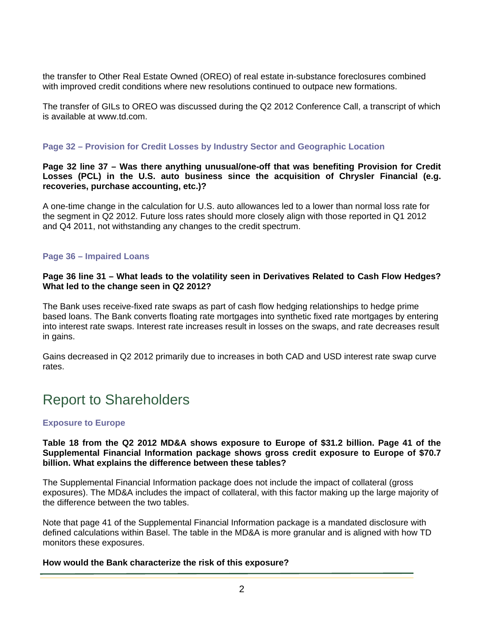the transfer to Other Real Estate Owned (OREO) of real estate in-substance foreclosures combined with improved credit conditions where new resolutions continued to outpace new formations.

The transfer of GILs to OREO was discussed during the Q2 2012 Conference Call, a transcript of which is available at www.td.com.

#### **Page 32 – Provision for Credit Losses by Industry Sector and Geographic Location**

**Page 32 line 37 – Was there anything unusual/one-off that was benefiting Provision for Credit Losses (PCL) in the U.S. auto business since the acquisition of Chrysler Financial (e.g. recoveries, purchase accounting, etc.)?** 

A one-time change in the calculation for U.S. auto allowances led to a lower than normal loss rate for the segment in Q2 2012. Future loss rates should more closely align with those reported in Q1 2012 and Q4 2011, not withstanding any changes to the credit spectrum.

#### **Page 36 – Impaired Loans**

#### **Page 36 line 31 – What leads to the volatility seen in Derivatives Related to Cash Flow Hedges? What led to the change seen in Q2 2012?**

The Bank uses receive-fixed rate swaps as part of cash flow hedging relationships to hedge prime based loans. The Bank converts floating rate mortgages into synthetic fixed rate mortgages by entering into interest rate swaps. Interest rate increases result in losses on the swaps, and rate decreases result in gains.

Gains decreased in Q2 2012 primarily due to increases in both CAD and USD interest rate swap curve rates.

# Report to Shareholders

#### **Exposure to Europe**

#### **Table 18 from the Q2 2012 MD&A shows exposure to Europe of \$31.2 billion. Page 41 of the Supplemental Financial Information package shows gross credit exposure to Europe of \$70.7 billion. What explains the difference between these tables?**

The Supplemental Financial Information package does not include the impact of collateral (gross exposures). The MD&A includes the impact of collateral, with this factor making up the large majority of the difference between the two tables.

Note that page 41 of the Supplemental Financial Information package is a mandated disclosure with defined calculations within Basel. The table in the MD&A is more granular and is aligned with how TD monitors these exposures.

#### **How would the Bank characterize the risk of this exposure?**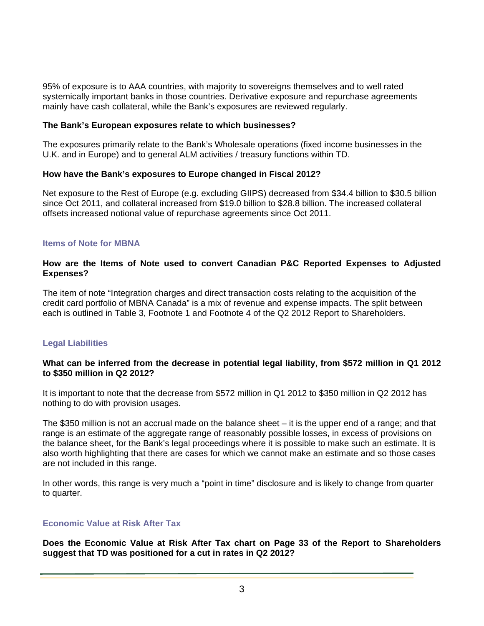95% of exposure is to AAA countries, with majority to sovereigns themselves and to well rated systemically important banks in those countries. Derivative exposure and repurchase agreements mainly have cash collateral, while the Bank's exposures are reviewed regularly.

#### **The Bank's European exposures relate to which businesses?**

The exposures primarily relate to the Bank's Wholesale operations (fixed income businesses in the U.K. and in Europe) and to general ALM activities / treasury functions within TD.

#### **How have the Bank's exposures to Europe changed in Fiscal 2012?**

Net exposure to the Rest of Europe (e.g. excluding GIIPS) decreased from \$34.4 billion to \$30.5 billion since Oct 2011, and collateral increased from \$19.0 billion to \$28.8 billion. The increased collateral offsets increased notional value of repurchase agreements since Oct 2011.

#### **Items of Note for MBNA**

#### **How are the Items of Note used to convert Canadian P&C Reported Expenses to Adjusted Expenses?**

The item of note "Integration charges and direct transaction costs relating to the acquisition of the credit card portfolio of MBNA Canada" is a mix of revenue and expense impacts. The split between each is outlined in Table 3, Footnote 1 and Footnote 4 of the Q2 2012 Report to Shareholders.

#### **Legal Liabilities**

#### **What can be inferred from the decrease in potential legal liability, from \$572 million in Q1 2012 to \$350 million in Q2 2012?**

It is important to note that the decrease from \$572 million in Q1 2012 to \$350 million in Q2 2012 has nothing to do with provision usages.

The \$350 million is not an accrual made on the balance sheet – it is the upper end of a range; and that range is an estimate of the aggregate range of reasonably possible losses, in excess of provisions on the balance sheet, for the Bank's legal proceedings where it is possible to make such an estimate. It is also worth highlighting that there are cases for which we cannot make an estimate and so those cases are not included in this range.

In other words, this range is very much a "point in time" disclosure and is likely to change from quarter to quarter.

#### **Economic Value at Risk After Tax**

**Does the Economic Value at Risk After Tax chart on Page 33 of the Report to Shareholders suggest that TD was positioned for a cut in rates in Q2 2012?**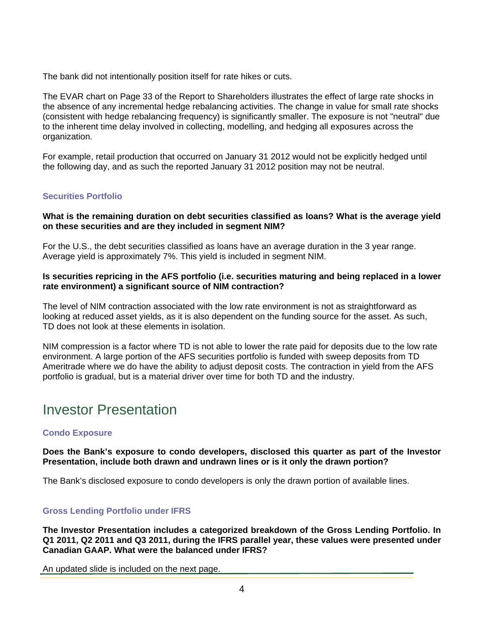The bank did not intentionally position itself for rate hikes or cuts.

The EVAR chart on Page 33 of the Report to Shareholders illustrates the effect of large rate shocks in the absence of any incremental hedge rebalancing activities. The change in value for small rate shocks (consistent with hedge rebalancing frequency) is significantly smaller. The exposure is not "neutral" due to the inherent time delay involved in collecting, modelling, and hedging all exposures across the organization.

For example, retail production that occurred on January 31 2012 would not be explicitly hedged until the following day, and as such the reported January 31 2012 position may not be neutral.

#### **Securities Portfolio**

#### **What is the remaining duration on debt securities classified as loans? What is the average yield on these securities and are they included in segment NIM?**

For the U.S., the debt securities classified as loans have an average duration in the 3 year range. Average yield is approximately 7%. This yield is included in segment NIM.

#### **Is securities repricing in the AFS portfolio (i.e. securities maturing and being replaced in a lower rate environment) a significant source of NIM contraction?**

The level of NIM contraction associated with the low rate environment is not as straightforward as looking at reduced asset yields, as it is also dependent on the funding source for the asset. As such, TD does not look at these elements in isolation.

NIM compression is a factor where TD is not able to lower the rate paid for deposits due to the low rate environment. A large portion of the AFS securities portfolio is funded with sweep deposits from TD Ameritrade where we do have the ability to adjust deposit costs. The contraction in yield from the AFS portfolio is gradual, but is a material driver over time for both TD and the industry.

### Investor Presentation

#### **Condo Exposure**

#### **Does the Bank's exposure to condo developers, disclosed this quarter as part of the Investor Presentation, include both drawn and undrawn lines or is it only the drawn portion?**

The Bank's disclosed exposure to condo developers is only the drawn portion of available lines.

#### **Gross Lending Portfolio under IFRS**

**The Investor Presentation includes a categorized breakdown of the Gross Lending Portfolio. In Q1 2011, Q2 2011 and Q3 2011, during the IFRS parallel year, these values were presented under Canadian GAAP. What were the balanced under IFRS?** 

An updated slide is included on the next page.